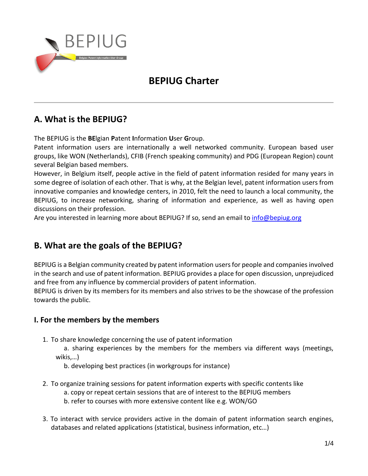

# **BEPIUG Charter**

## **A. What is the BEPIUG?**

The BEPIUG is the **BE**lgian **P**atent **I**nformation **U**ser **G**roup.

Patent information users are internationally a well networked community. European based user groups, like WON (Netherlands), CFIB (French speaking community) and PDG (European Region) count several Belgian based members.

However, in Belgium itself, people active in the field of patent information resided for many years in some degree of isolation of each other. That is why, at the Belgian level, patent information users from innovative companies and knowledge centers, in 2010, felt the need to launch a local community, the BEPIUG, to increase networking, sharing of information and experience, as well as having open discussions on their profession.

Are you interested in learning more about BEPIUG? If so, send an email to [info@bepiug.org](mailto:info@bepiug.org)

## **B. What are the goals of the BEPIUG?**

BEPIUG is a Belgian community created by patent information usersfor people and companies involved in the search and use of patent information. BEPIUG provides a place for open discussion, unprejudiced and free from any influence by commercial providers of patent information.

BEPIUG is driven by its members for its members and also strives to be the showcase of the profession towards the public.

## **I. For the members by the members**

1. To share knowledge concerning the use of patent information

a. sharing experiences by the members for the members via different ways (meetings, wikis,…)

b. developing best practices (in workgroups for instance)

- 2. To organize training sessions for patent information experts with specific contents like a. copy or repeat certain sessions that are of interest to the BEPIUG members b. refer to courses with more extensive content like e.g. WON/GO
- 3. To interact with service providers active in the domain of patent information search engines, databases and related applications (statistical, business information, etc…)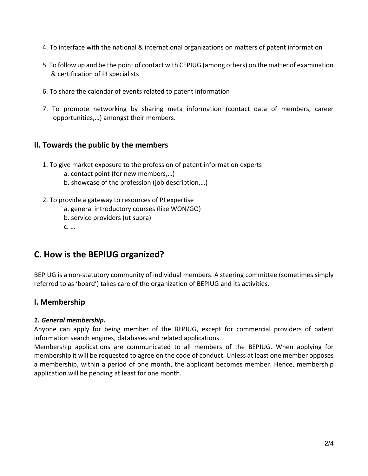- 4. To interface with the national & international organizations on matters of patent information
- 5. To follow up and be the point of contact with CEPIUG (among others) on the matter of examination & certification of PI specialists
- 6. To share the calendar of events related to patent information
- 7. To promote networking by sharing meta information (contact data of members, career opportunities,…) amongst their members.

### **II. Towards the public by the members**

- 1. To give market exposure to the profession of patent information experts
	- a. contact point (for new members,…)
	- b. showcase of the profession (job description,…)
- 2. To provide a gateway to resources of PI expertise
	- a. general introductory courses (like WON/GO)
	- b. service providers (ut supra)
	- c. …

## **C. How is the BEPIUG organized?**

BEPIUG is a non-statutory community of individual members. A steering committee (sometimes simply referred to as 'board') takes care of the organization of BEPIUG and its activities.

### **I. Membership**

#### *1. General membership.*

Anyone can apply for being member of the BEPIUG, except for commercial providers of patent information search engines, databases and related applications.

Membership applications are communicated to all members of the BEPIUG. When applying for membership it will be requested to agree on the code of conduct. Unless at least one member opposes a membership, within a period of one month, the applicant becomes member. Hence, membership application will be pending at least for one month.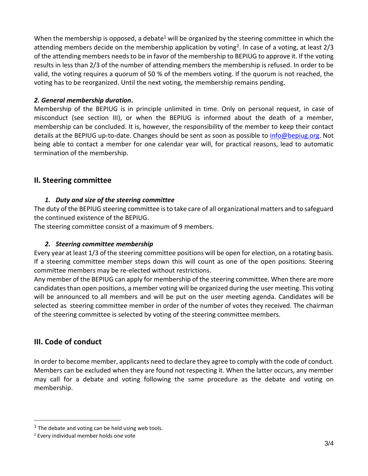When the membership is opposed, a debate<sup>1</sup> will be organized by the steering committee in which the attending members decide on the membership application by voting<sup>2</sup>. In case of a voting, at least 2/3 of the attending members needs to be in favor of the membership to BEPIUG to approve it. If the voting results in less than 2/3 of the number of attending members the membership is refused. In order to be valid, the voting requires a quorum of 50 % of the members voting. If the quorum is not reached, the voting has to be reorganized. Until the next voting, the membership remains pending.

#### *2. General membership duration***.**

Membership of the BEPIUG is in principle unlimited in time. Only on personal request, in case of misconduct (see section III), or when the BEPIUG is informed about the death of a member, membership can be concluded. It is, however, the responsibility of the member to keep their contact details at the BEPIUG up-to-date. Changes should be sent as soon as possible to *info@bepiug.org*. Not being able to contact a member for one calendar year will, for practical reasons, lead to automatic termination of the membership.

### **II. Steering committee**

#### *1. Duty and size of the steering committee*

The duty of the BEPIUG steering committee is to take care of all organizational matters and to safeguard the continued existence of the BEPIUG.

The steering committee consist of a maximum of 9 members.

### *2. Steering committee membership*

Every year at least 1/3 of the steering committee positions will be open for election, on a rotating basis. If a steering committee member steps down this will count as one of the open positions. Steering committee members may be re-elected without restrictions.

Any member of the BEPIUG can apply for membership of the steering committee. When there are more candidates than open positions, a member voting will be organized during the user meeting. This voting will be announced to all members and will be put on the user meeting agenda. Candidates will be selected as steering committee member in order of the number of votes they received. The chairman of the steering committee is selected by voting of the steering committee members.

## **III. Code of conduct**

In order to become member, applicants need to declare they agree to comply with the code of conduct. Members can be excluded when they are found not respecting it. When the latter occurs, any member may call for a debate and voting following the same procedure as the debate and voting on membership.

 $<sup>1</sup>$  The debate and voting can be held using web tools.</sup>

<sup>2</sup> Every individual member holds one vote